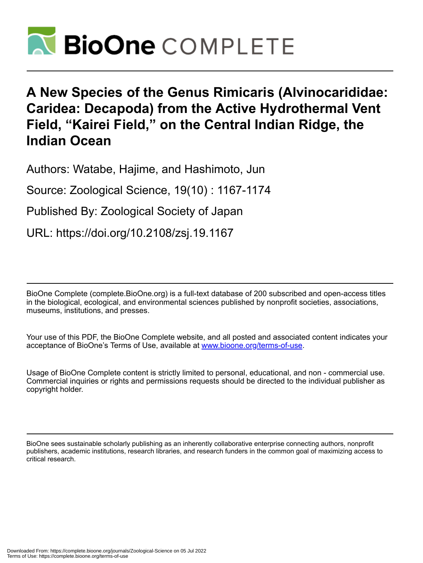

# **A New Species of the Genus Rimicaris (Alvinocarididae: Caridea: Decapoda) from the Active Hydrothermal Vent Field, "Kairei Field," on the Central Indian Ridge, the Indian Ocean**

Authors: Watabe, Hajime, and Hashimoto, Jun

Source: Zoological Science, 19(10) : 1167-1174

Published By: Zoological Society of Japan

URL: https://doi.org/10.2108/zsj.19.1167

BioOne Complete (complete.BioOne.org) is a full-text database of 200 subscribed and open-access titles in the biological, ecological, and environmental sciences published by nonprofit societies, associations, museums, institutions, and presses.

Your use of this PDF, the BioOne Complete website, and all posted and associated content indicates your acceptance of BioOne's Terms of Use, available at www.bioone.org/terms-of-use.

Usage of BioOne Complete content is strictly limited to personal, educational, and non - commercial use. Commercial inquiries or rights and permissions requests should be directed to the individual publisher as copyright holder.

BioOne sees sustainable scholarly publishing as an inherently collaborative enterprise connecting authors, nonprofit publishers, academic institutions, research libraries, and research funders in the common goal of maximizing access to critical research.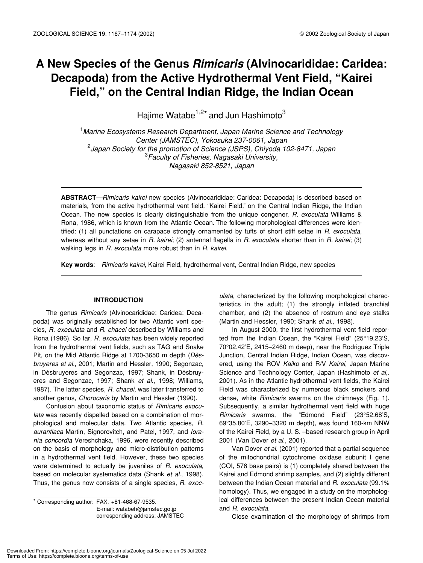# **A New Species of the Genus** *Rimicaris* **(Alvinocarididae: Caridea: Decapoda) from the Active Hydrothermal Vent Field, "Kairei Field," on the Central Indian Ridge, the Indian Ocean**

Hajime Watabe<sup>1,2\*</sup> and Jun Hashimoto<sup>3</sup>

1 *Marine Ecosystems Research Department, Japan Marine Science and Technology Center (JAMSTEC), Yokosuka 237-0061, Japan* 2 *Japan Society for the promotion of Science (JSPS), Chiyoda 102-8471, Japan* 3 *Faculty of Fisheries, Nagasaki University, Nagasaki 852-8521, Japan*

**ABSTRACT***—Rimicaris kairei* new species (Alvinocarididae: Caridea: Decapoda) is described based on materials, from the active hydrothermal vent field, "Kairei Field," on the Central Indian Ridge, the Indian Ocean. The new species is clearly distinguishable from the unique congener, *R. exoculata* Williams & Rona, 1986, which is known from the Atlantic Ocean. The following morphological differences were identified: (1) all punctations on carapace strongly ornamented by tufts of short stiff setae in *R. exoculata*, whereas without any setae in *R. kairei*; (2) antennal flagella in *R. exoculata* shorter than in *R. kairei*; (3) walking legs in *R. exoculata* more robust than in *R. kairei*.

**Key words**: *Rimicaris kairei*, Kairei Field, hydrothermal vent, Central Indian Ridge, new species

#### **INTRODUCTION**

The genus *Rimicaris* (Alvinocarididae: Caridea: Decapoda) was originally established for two Atlantic vent species, *R. exoculata* and *R. chacei* described by Williams and Rona (1986). So far, *R*. *exoculata* has been widely reported from the hydrothermal vent fields, such as TAG and Snake Pit, on the Mid Atlantic Ridge at 1700-3650 m depth (*Dèsbruyeres et al.*, 2001; Martin and Hessler, 1990; Segonzac, in Dèsbruyeres and Segonzac, 1997; Shank, in Dèsbruyeres and Segonzac, 1997; Shank *et al*., 1998; Williams, 1987). The latter species, *R. chacei,* was later transferred to another genus, *Chorocaris* by Martin and Hessler (1990).

Confusion about taxonomic status of *Rimicaris exoculata* was recently dispelled based on a combination of morphological and molecular data. Two Atlantic species, *R. aurantiaca* Martin, Signorovitch, and Patel, 1997, and *Iorania concordia* Vereshchaka, 1996, were recently described on the basis of morphology and micro-distribution patterns in a hydrothermal vent field. However, these two species were determined to actually be juveniles of *R. exoculata*, based on molecular systematics data (Shank *et al*., 1998). Thus, the genus now consists of a single species, *R. exoc-*

\* Corresponding author: FAX. +81-468-67-9535. E-mail: watabeh@jamstec.go.jp corresponding address: JAMSTEC

*ulata*, characterized by the following morphological characteristics in the adult; (1) the strongly inflated branchial chamber, and (2) the absence of rostrum and eye stalks (Martin and Hessler, 1990; Shank *et al*., 1998).

In August 2000, the first hydrothermal vent field reported from the Indian Ocean, the "Kairei Field" (25°19.23'S, 70°02.42'E, 2415–2460 m deep), near the Rodriguez Triple Junction, Central Indian Ridge, Indian Ocean, was discovered, using the ROV *Kaiko* and R/V *Kairei*, Japan Marine Science and Technology Center, Japan (Hashimoto *et al*,. 2001). As in the Atlantic hydrothermal vent fields, the Kairei Field was characterized by numerous black smokers and dense, white *Rimicaris* swarms on the chimneys (Fig. 1). Subsequently, a similar hydrothermal vent field with huge *Rimicaris* swarms, the "Edmond Field" (23°52.68'S, 69°35.80'E, 3290–3320 m depth), was found 160-km NNW of the Kairei Field, by a U. S. –based research group in April 2001 (Van Dover *et al*., 2001).

Van Dover *et al.* (2001) reported that a partial sequence of the mitochondrial cytochrome oxidase subunit I gene (COI, 576 base pairs) is (1) completely shared between the Kairei and Edmond shrimp samples, and (2) slightly different between the Indian Ocean material and *R. exoculata* (99.1% homology). Thus, we engaged in a study on the morphological differences between the present Indian Ocean material and *R. exoculata*.

Close examination of the morphology of shrimps from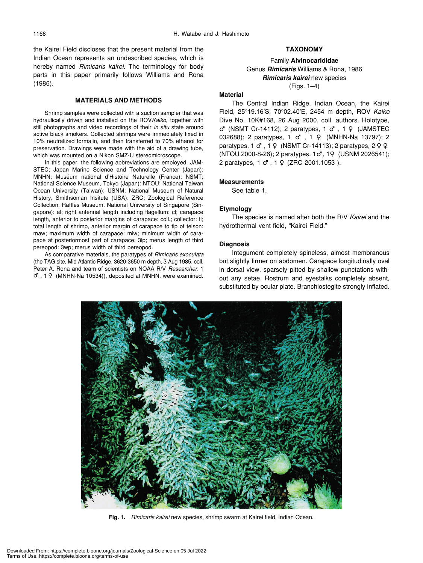the Kairei Field discloses that the present material from the Indian Ocean represents an undescribed species, which is hereby named *Rimicaris kairei*. The terminology for body parts in this paper primarily follows Williams and Rona (1986).

# **MATERIALS AND METHODS**

Shrimp samples were collected with a suction sampler that was hydraulically driven and installed on the ROV*Kaiko*, together with still photographs and video recordings of their *in situ* state around active black smokers. Collected shrimps were immediately fixed in 10% neutralized formalin, and then transferred to 70% ethanol for preservation. Drawings were made with the aid of a drawing tube, which was mounted on a Nikon SMZ-U stereomicroscope.

In this paper, the following abbreviations are employed. JAM-STEC; Japan Marine Science and Technology Center (Japan): MNHN; Muséum national d'Histoire Naturelle (France): NSMT; National Science Museum, Tokyo (Japan): NTOU; National Taiwan Ocean University (Taiwan): USNM; National Museum of Natural History, Smithsonian Insitute (USA): ZRC; Zoological Reference Collection, Raffles Museum, National University of Singapore (Singapore): al; right antennal length including flagellum: cl; carapace length, anterior to posterior margins of carapace: coll.; collector: tl; total length of shrimp, anterior margin of carapace to tip of telson: maw; maximum width of carapace: miw; minimum width of carapace at posteriormost part of carapace: 3lp; merus length of third pereopod: 3wp; merus width of third pereopod.

As comparative materials, the paratypes of *Rimicaris exoculata* (the TAG site, Mid Atlantic Ridge, 3620-3650 m depth, 3 Aug 1985, coll. Peter A. Rona and team of scientists on NOAA R/V *Researcher*: 1 , 1 (MNHN-Na 10534)), deposited at MNHN, were examined.

# **TAXONOMY**

# Family **Alvinocarididae** Genus *Rimicaris* Williams & Rona, 1986 *Rimicaris kairei* new species (Figs. 1–4)

#### **Material**

The Central Indian Ridge. Indian Ocean, the Kairei Field, 25°19.16'S, 70°02.40'E, 2454 m depth, ROV *Kaiko* Dive No. 10K#168, 26 Aug 2000, coll. authors. Holotype, (NSMT Cr-14112); 2 paratypes, 1, 1 (JAMSTEC 032688); 2 paratypes, 1, 1 (MNHN-Na 13797); 2 paratypes,  $1, 1$  (NSMT Cr-14113); 2 paratypes, 2 (NTOU 2000-8-26); 2 paratypes, 1 , 1 (USNM 2026541); 2 paratypes, 1 , 1 (ZRC 2001.1053 ).

# **Measurements**

See table 1.

# **Etymology**

The species is named after both the R/V *Kairei* and the hydrothermal vent field, "Kairei Field."

# **Diagnosis**

Integument completely spineless, almost membranous but slightly firmer on abdomen. Carapace longitudinally oval in dorsal view, sparsely pitted by shallow punctations without any setae. Rostrum and eyestalks completely absent, substituted by ocular plate. Branchiostegite strongly inflated.



**Fig. 1.** *Rimicaris kairei* new species, shrimp swarm at Kairei field, Indian Ocean.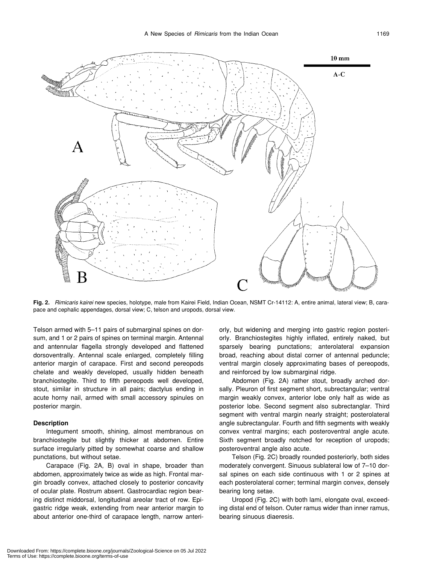

**Fig. 2.** *Rimicaris kairei* new species, holotype, male from Kairei Field, Indian Ocean, NSMT Cr-14112: A, entire animal, lateral view; B, carapace and cephalic appendages, dorsal view; C, telson and uropods, dorsal view.

Telson armed with 5–11 pairs of submarginal spines on dorsum, and 1 or 2 pairs of spines on terminal margin. Antennal and antennular flagella strongly developed and flattened dorsoventrally. Antennal scale enlarged, completely filling anterior margin of carapace. First and second pereopods chelate and weakly developed, usually hidden beneath branchiostegite. Third to fifth pereopods well developed, stout, similar in structure in all pairs; dactylus ending in acute horny nail, armed with small accessory spinules on posterior margin.

#### **Description**

Integument smooth, shining, almost membranous on branchiostegite but slightly thicker at abdomen. Entire surface irregularly pitted by somewhat coarse and shallow punctations, but without setae.

Carapace (Fig. 2A, B) oval in shape, broader than abdomen, approximately twice as wide as high. Frontal margin broadly convex, attached closely to posterior concavity of ocular plate. Rostrum absent. Gastrocardiac region bearing distinct middorsal, longitudinal areolar tract of row. Epigastric ridge weak, extending from near anterior margin to about anterior one-third of carapace length, narrow anteriorly, but widening and merging into gastric region posteriorly. Branchiostegites highly inflated, entirely naked, but sparsely bearing punctations; anterolateral expansion broad, reaching about distal corner of antennal peduncle; ventral margin closely approximating bases of pereopods, and reinforced by low submarginal ridge.

Abdomen (Fig. 2A) rather stout, broadly arched dorsally. Pleuron of first segment short, subrectangular; ventral margin weakly convex, anterior lobe only half as wide as posterior lobe. Second segment also subrectanglar. Third segment with ventral margin nearly straight; posterolateral angle subrectangular. Fourth and fifth segments with weakly convex ventral margins; each posteroventral angle acute. Sixth segment broadly notched for reception of uropods; posteroventral angle also acute.

Telson (Fig. 2C) broadly rounded posteriorly, both sides moderately convergent. Sinuous sublateral low of 7–10 dorsal spines on each side continuous with 1 or 2 spines at each posterolateral corner; terminal margin convex, densely bearing long setae.

Uropod (Fig. 2C) with both lami, elongate oval, exceeding distal end of telson. Outer ramus wider than inner ramus, bearing sinuous diaeresis.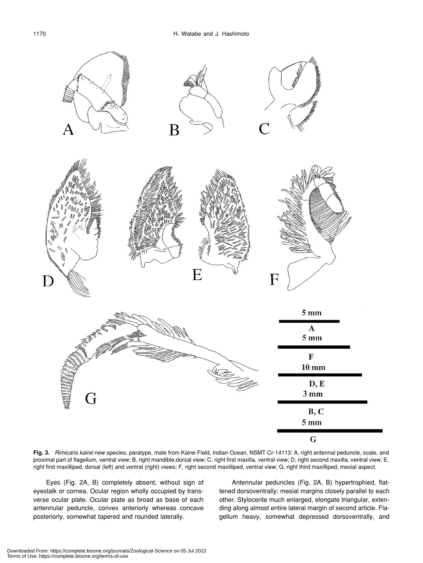

**Fig. 3.** *Rimicaris kairei* new species, paratype, male from Kairei Field, Indian Ocean, NSMT Cr-14113: A, right antennal peduncle, scale, and proximal part of flagellum, ventral view; B, right mandible,dorsal view; C, right first maxilla, ventral view; D, right second maxilla, ventral view; E, right first maxilliped, dorsal (left) and ventral (right) views; F, right second maxilliped, ventral view; G, right third maxilliped, mesial aspect.

Eyes (Fig. 2A, B) completely absent, without sign of eyestalk or cornea. Ocular region wholly occupied by transverse ocular plate. Ocular plate as broad as base of each antennular peduncle, convex anteriorly whereas concave posteriorly, somewhat tapered and rounded laterally.

Antennular peduncles (Fig. 2A, B) hypertrophied, flattened dorsoventrally; mesial margins closely parallel to each other. Stylocerite much enlarged, elongate triangular, extending along almost entire lateral margin of second article. Flagellum heavy, somewhat depressed dorsoventrally, and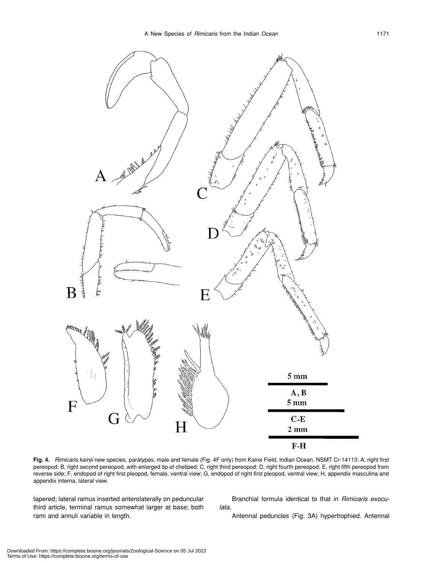

**Fig. 4.** *Rimicaris kairei* new species, paratypes, male and female (Fig. 4F only) from Kairei Field, Indian Ocean, NSMT Cr-14113: A, right first pereopod; B, right second pereopod, with enlarged tip of cheliped; C, right third pereopod; D, right fourth pereopod; E, right fifth pereopod from reverse side; F, endopod of right first pleopod, female, ventral view; G, endopod of right first pleopod, ventral view; H, appendix masculina and appendix interna, lateral view.

tapered; lateral ramus inserted anterolaterally on peduncular third article, terminal ramus somewhat larger at base; both rami and annuli variable in length.

Branchial formula identical to that in *Rimicaris exoculata*.

Antennal peduncles (Fig. 3A) hypertrophied. Antennal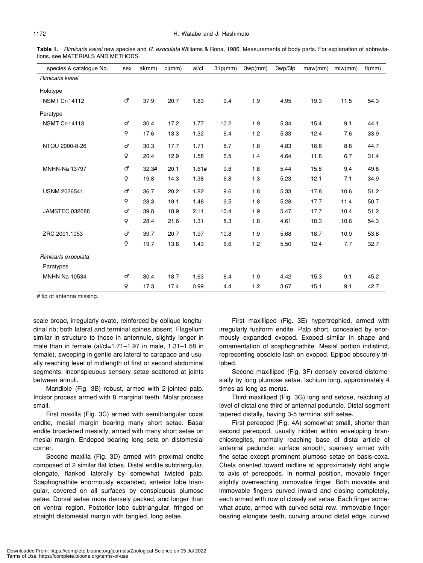**Table 1.** *Rimicaris kairei* new species and *R. exoculata* Williams & Rona, 1986. Measurements of body parts. For explanation of abbreviations, see MATERIALS AND METHODS.

| species & catalogue No. | sex | al/mm) | cl(mm) | al/cl | 31p(mm) | 3wp(mm) | 3wp/3lp | maw(mm) | miw/mm) | tl(mm) |
|-------------------------|-----|--------|--------|-------|---------|---------|---------|---------|---------|--------|
| Rimicaris kairei        |     |        |        |       |         |         |         |         |         |        |
| Holotype                |     |        |        |       |         |         |         |         |         |        |
| <b>NSMT Cr-14112</b>    |     | 37.9   | 20.7   | 1.83  | 9.4     | 1.9     | 4.95    | 19.3    | 11.5    | 54.3   |
| Paratype                |     |        |        |       |         |         |         |         |         |        |
| <b>NSMT Cr-14113</b>    |     | 30.4   | 17.2   | 1.77  | 10.2    | 1.9     | 5.34    | 15.4    | 9.1     | 44.1   |
|                         |     | 17.6   | 13.3   | 1.32  | 6.4     | 1.2     | 5.33    | 12.4    | 7.6     | 33.9   |
| NTOU 2000-8-26          |     | 30.3   | 17.7   | 1.71  | 8.7     | 1.8     | 4.83    | 16.8    | 8.8     | 44.7   |
|                         |     | 20.4   | 12.9   | 1.58  | 6.5     | 1.4     | 4.64    | 11.8    | 6.7     | 31.4   |
| <b>MNHN-Na 13797</b>    |     | 32.3#  | 20.1   | 1.61# | 9.8     | 1.8     | 5.44    | 15.8    | 9.4     | 49.8   |
|                         |     | 19.8   | 14.3   | 1.38  | 6.8     | 1.3     | 5.23    | 12.1    | 7.1     | 34.9   |
| <b>USNM 2026541</b>     |     | 36.7   | 20.2   | 1.82  | 9.6     | 1.8     | 5.33    | 17.8    | 10.6    | 51.2   |
|                         |     | 28.3   | 19.1   | 1.48  | 9.5     | 1.8     | 5.28    | 17.7    | 11.4    | 50.7   |
| <b>JAMSTEC 032688</b>   |     | 39.8   | 18.9   | 2.11  | 10.4    | 1.9     | 5.47    | 17.7    | 10.4    | 51.2   |
|                         |     | 28.4   | 21.6   | 1.31  | 8.3     | 1.8     | 4.61    | 18.3    | 10.6    | 54.3   |
| ZRC 2001.1053           |     | 39.7   | 20.7   | 1.97  | 10.8    | 1.9     | 5.68    | 18.7    | 10.9    | 53.8   |
|                         |     | 19.7   | 13.8   | 1.43  | 6.6     | 1.2     | 5.50    | 12.4    | 7.7     | 32.7   |
| Rimicarls exoculata     |     |        |        |       |         |         |         |         |         |        |
| Paratypes               |     |        |        |       |         |         |         |         |         |        |
| <b>MNHN Na-10534</b>    |     | 30.4   | 18.7   | 1.63  | 8.4     | 1.9     | 4.42    | 15.3    | 9.1     | 45.2   |
|                         |     | 17.3   | 17.4   | 0.99  | 4.4     | 1.2     | 3.67    | 15.1    | 9.1     | 42.7   |

# tip of antenna missing.

scale broad, irregularly ovate, reinforced by oblique longitudinal rib; both lateral and terminal spines absent. Flagellum similar in structure to those in antennule, slightly longer in male than in female (al/cl=1.71–1.97 in male, 1.31–1.58 in female), sweeping in gentle arc lateral to carapace and usually reaching level of midlength of first or second abdominal segments; inconspicuous sensory setae scattered at joints between annuli.

Mandible (Fig. 3B) robust, armed with 2-jointed palp. Incisor process armed with 8 marginal teeth. Molar process small.

First maxilla (Fig. 3C) armed with semitriangular coxal endite, mesial margin bearing many short setae. Basal endite broadened mesially, armed with many short setae on mesial margin. Endopod bearing long seta on distomesial corner.

Second maxilla (Fig. 3D) armed with proximal endite composed of 2 similar flat lobes. Distal endite subtriangular, elongate, flanked laterally by somewhat twisted palp. Scaphognathite enormously expanded, anterior lobe triangular, covered on all surfaces by conspicuous plumose setae. Dorsal setae more densely packed, and longer than on ventral region. Posterior lobe subtriangular, fringed on straight distomesial margin with tangled, long setae.

First maxilliped (Fig. 3E) hypertrophied, armed with irregularly fusiform endite. Palp short, concealed by enormously expanded exopod. Exopod similar in shape and ornamentation of scaphognathite. Mesial portion indistinct, representing obsolete lash on exopod. Epipod obscurely trilobed.

Second maxilliped (Fig. 3F) densely covered distomesially by long plumose setae. Ischium long, approximately 4 times as long as merus.

Third maxilliped (Fig. 3G) long and setose, reaching at level of distal one third of antennal peduncle. Distal segment tapered distally, having 3-5 terminal stiff setae.

First pereopod (Fig. 4A) somewhat small, shorter than second pereopod, usually hidden within enveloping branchiostegites, normally reaching base of distal article of antennal peduncle; surface smooth, sparsely armed with fine setae except prominent plumose setae on basis-coxa. Chela oriented toward midline at approximately right angle to axis of pereopods. In normal position, movable finger slightly overreaching immovable finger. Both movable and immovable fingers curved inward and closing completely, each armed with row of closely set setae. Each finger somewhat acute, armed with curved setal row. Immovable finger bearing elongate teeth, curving around distal edge, curved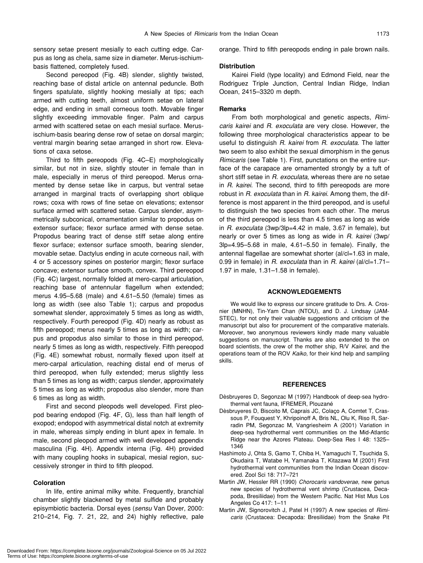sensory setae present mesially to each cutting edge. Carpus as long as chela, same size in diameter. Merus-ischiumbasis flattened, completely fused.

Second pereopod (Fig. 4B) slender, slightly twisted, reaching base of distal article on antennal peduncle. Both fingers spatulate, slightly hooking mesially at tips; each armed with cutting teeth, almost uniform setae on lateral edge, and ending in small corneous tooth. Movable finger slightly exceeding immovable finger. Palm and carpus armed with scattered setae on each mesial surface. Merusischium-basis bearing dense row of setae on dorsal margin; ventral margin bearing setae arranged in short row. Elevations of caxa setose.

Third to fifth pereopods (Fig. 4C–E) morphologically similar, but not in size, slightly stouter in female than in male, especially in merus of third pereopod. Merus ornamented by dense setae like in carpus, but ventral setae arranged in marginal tracts of overlapping short oblique rows; coxa with rows of fine setae on elevations; extensor surface armed with scattered setae. Carpus slender, asymmetrically subconical, ornamentation similar to propodus on extensor surface; flexor surface armed with dense setae. Propodus bearing tract of dense stiff setae along entire flexor surface; extensor surface smooth, bearing slender, movable setae. Dactylus ending in acute corneous nail, with 4 or 5 accessory spines on posterior margin; flexor surface concave; extensor surface smooth, convex. Third pereopod (Fig. 4C) largest, normally folded at mero-carpal articulation, reaching base of antennular flagellum when extended; merus 4.95–5.68 (male) and 4.61–5.50 (female) times as long as width (see also Table 1); carpus and propodus somewhat slender, approximately 5 times as long as width, respectively. Fourth pereopod (Fig. 4D) nearly as robust as fifth pereopod; merus nearly 5 times as long as width; carpus and propodus also similar to those in third pereopod, nearly 5 times as long as width, respectively. Fifth pereopod (Fig. 4E) somewhat robust, normally flexed upon itself at mero-carpal articulation, reaching distal end of merus of third pereopod, when fully extended; merus slightly less than 5 times as long as width; carpus slender, approximately 5 times as long as width; propodus also slender, more than 6 times as long as width.

First and second pleopods well developed. First pleopod bearing endopod (Fig. 4F, G), less than half length of exopod; endopod with asymmetrical distal notch at extremity in male, whereas simply ending in blunt apex in female. In male, second pleopod armed with well developed appendix masculina (Fig. 4H). Appendix interna (Fig. 4H) provided with many coupling hooks in subapical, mesial region, successively stronger in third to fifth pleopod.

# **Coloration**

In life, entire animal milky white. Frequently, branchial chamber slightly blackened by metal sulfide and probably episymbiotic bacteria. Dorsal eyes (*sensu* Van Dover, 2000: 210–214, Fig. 7. 21, 22, and 24) highly reflective, pale orange. Third to fifth pereopods ending in pale brown nails.

#### **Distribution**

Kairei Field (type locality) and Edmond Field, near the Rodriguez Triple Junction, Central Indian Ridge, Indian Ocean, 2415–3320 m depth.

#### **Remarks**

From both morphological and genetic aspects, *Rimicaris kairei* and *R. exoculata* are very close. However, the following three morphological characteristics appear to be useful to distinguish *R. kairei* from *R. exoculata*. The latter two seem to also exhibit the sexual dimorphism in the genus *Rimicaris* (see Table 1)*.* First, punctations on the entire surface of the carapace are ornamented strongly by a tuft of short stiff setae in *R. exoculata*, whereas there are no setae in *R. kairei*. The second, third to fifth pereopods are more robust in *R. exoculata* than in *R. kairei*. Among them, the difference is most apparent in the third pereopod, and is useful to distinguish the two species from each other. The merus of the third pereopod is less than 4.5 times as long as wide in *R. exoculata* (3wp/3lp=4.42 in male, 3.67 in female), but nearly or over 5 times as long as wide in *R. kairei* (3wp/ 3lp=4.95–5.68 in male, 4.61–5.50 in female). Finally, the antennal flagellae are somewhat shorter (al/cl=1.63 in male, 0.99 in female) in *R. exoculata* than in *R. kairei* (al/cl=1.71– 1.97 in male, 1.31–1.58 in female).

#### **ACKNOWLEDGEMENTS**

We would like to express our sincere gratitude to Drs. A. Crosnier (MNHN), Tin-Yam Chan (NTOU), and D. J. Lindsay (JAM-STEC), for not only their valuable suggestions and criticism of the manuscript but also for procurement of the comparative materials. Moreover, two anonymous reviewers kindly made many valuable suggestions on manuscript. Thanks are also extended to the on board scientists, the crew of the mother ship, R/V *Kairei*, and the operations team of the ROV *Kaiko*, for their kind help and sampling skills.

#### **REFERENCES**

- Dèsbruyeres D, Segonzac M (1997) Handbook of deep-sea hydrothermal vent fauna, IFREMER, Plouzané
- Dèsbruyeres D, Biscoito M, Caprais JC, Colaço A, Comtet T, Crassous P, Fouquest Y, Khripoinoff A, Bris NL, Olu K, Riso R, Sarradin PM, Segonzac M, Vangriesheim A (2001) Variation in deep-sea hydrothermal vent communities on the Mid-Atlantic Ridge near the Azores Plateau. Deep-Sea Res I 48: 1325– 1346
- Hashimoto J, Ohta S, Gamo T, Chiba H, Yamaguchi T, Tsuchida S, Okudaira T, Watabe H, Yamanaka T, Kitazawa M (2001) First hydrothermal vent communities from the Indian Ocean discovered. Zool Sci 18: 717–721
- Martin JW, Hessler RR (1990) *Chorocaris vandoverae*, new genus new species of hydrothermal vent shrimp (Crustacea, Decapoda, Bresiliidae) from the Western Pacific. Nat Hist Mus Los Angeles Co 417: 1–11
- Martin JW, Signorovitch J, Patel H (1997) A new species of *Rimicaris* (Crustacea: Decapoda: Bresiliidae) from the Snake Pit